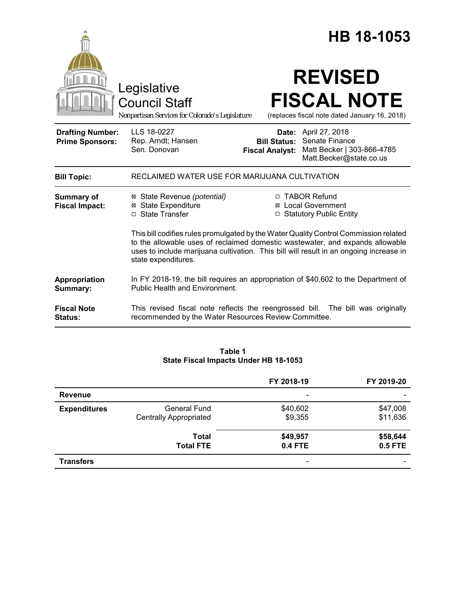|                                                   |                                                                                                                                                                                                                                                                                        | HB 18-1053                                    |                                                                                                 |  |
|---------------------------------------------------|----------------------------------------------------------------------------------------------------------------------------------------------------------------------------------------------------------------------------------------------------------------------------------------|-----------------------------------------------|-------------------------------------------------------------------------------------------------|--|
|                                                   | Legislative<br><b>Council Staff</b><br>Nonpartisan Services for Colorado's Legislature                                                                                                                                                                                                 |                                               | <b>REVISED</b><br><b>FISCAL NOTE</b><br>(replaces fiscal note dated January 16, 2018)           |  |
| <b>Drafting Number:</b><br><b>Prime Sponsors:</b> | LLS 18-0227<br>Rep. Arndt; Hansen<br>Sen. Donovan                                                                                                                                                                                                                                      | <b>Bill Status:</b><br><b>Fiscal Analyst:</b> | Date: April 27, 2018<br>Senate Finance<br>Matt Becker   303-866-4785<br>Matt.Becker@state.co.us |  |
| <b>Bill Topic:</b>                                | RECLAIMED WATER USE FOR MARIJUANA CULTIVATION                                                                                                                                                                                                                                          |                                               |                                                                                                 |  |
| <b>Summary of</b><br><b>Fiscal Impact:</b>        | ⊠ State Revenue (potential)<br><b>⊠</b> State Expenditure<br>□ State Transfer                                                                                                                                                                                                          |                                               | □ TABOR Refund<br>⊠ Local Government<br>□ Statutory Public Entity                               |  |
|                                                   | This bill codifies rules promulgated by the Water Quality Control Commission related<br>to the allowable uses of reclaimed domestic wastewater, and expands allowable<br>uses to include marijuana cultivation. This bill will result in an ongoing increase in<br>state expenditures. |                                               |                                                                                                 |  |
| Appropriation<br>Summary:                         | In FY 2018-19, the bill requires an appropriation of \$40,602 to the Department of<br>Public Health and Environment.                                                                                                                                                                   |                                               |                                                                                                 |  |
| <b>Fiscal Note</b><br>Status:                     | This revised fiscal note reflects the reengrossed bill. The bill was originally<br>recommended by the Water Resources Review Committee.                                                                                                                                                |                                               |                                                                                                 |  |

# **Table 1 State Fiscal Impacts Under HB 18-1053**

|                     |                                                      | FY 2018-19                 | FY 2019-20               |
|---------------------|------------------------------------------------------|----------------------------|--------------------------|
| <b>Revenue</b>      |                                                      | $\overline{\phantom{0}}$   |                          |
| <b>Expenditures</b> | <b>General Fund</b><br><b>Centrally Appropriated</b> | \$40,602<br>\$9,355        | \$47,008<br>\$11,636     |
|                     | <b>Total</b><br><b>Total FTE</b>                     | \$49,957<br><b>0.4 FTE</b> | \$58,644<br>0.5 FTE      |
| <b>Transfers</b>    |                                                      | $\overline{\phantom{0}}$   | $\overline{\phantom{0}}$ |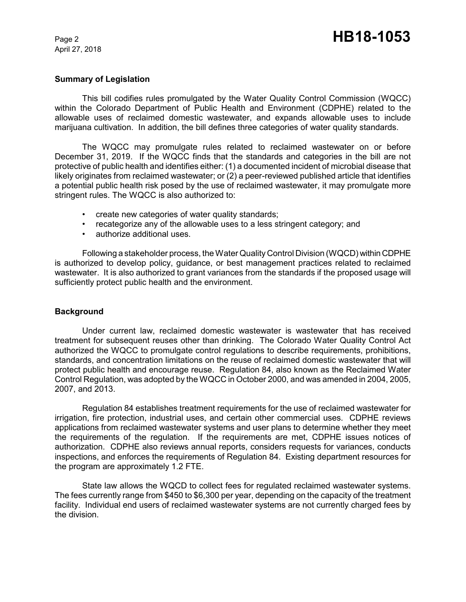April 27, 2018

## **Summary of Legislation**

This bill codifies rules promulgated by the Water Quality Control Commission (WQCC) within the Colorado Department of Public Health and Environment (CDPHE) related to the allowable uses of reclaimed domestic wastewater, and expands allowable uses to include marijuana cultivation. In addition, the bill defines three categories of water quality standards.

The WQCC may promulgate rules related to reclaimed wastewater on or before December 31, 2019. If the WQCC finds that the standards and categories in the bill are not protective of public health and identifies either: (1) a documented incident of microbial disease that likely originates from reclaimed wastewater; or (2) a peer-reviewed published article that identifies a potential public health risk posed by the use of reclaimed wastewater, it may promulgate more stringent rules. The WQCC is also authorized to:

- create new categories of water quality standards;
- recategorize any of the allowable uses to a less stringent category; and
- authorize additional uses.

Following a stakeholder process, the Water Quality Control Division (WQCD) within CDPHE is authorized to develop policy, guidance, or best management practices related to reclaimed wastewater. It is also authorized to grant variances from the standards if the proposed usage will sufficiently protect public health and the environment.

#### **Background**

Under current law, reclaimed domestic wastewater is wastewater that has received treatment for subsequent reuses other than drinking. The Colorado Water Quality Control Act authorized the WQCC to promulgate control regulations to describe requirements, prohibitions, standards, and concentration limitations on the reuse of reclaimed domestic wastewater that will protect public health and encourage reuse. Regulation 84, also known as the Reclaimed Water Control Regulation, was adopted by the WQCC in October 2000, and was amended in 2004, 2005, 2007, and 2013.

Regulation 84 establishes treatment requirements for the use of reclaimed wastewater for irrigation, fire protection, industrial uses, and certain other commercial uses. CDPHE reviews applications from reclaimed wastewater systems and user plans to determine whether they meet the requirements of the regulation. If the requirements are met, CDPHE issues notices of authorization. CDPHE also reviews annual reports, considers requests for variances, conducts inspections, and enforces the requirements of Regulation 84. Existing department resources for the program are approximately 1.2 FTE.

State law allows the WQCD to collect fees for regulated reclaimed wastewater systems. The fees currently range from \$450 to \$6,300 per year, depending on the capacity of the treatment facility. Individual end users of reclaimed wastewater systems are not currently charged fees by the division.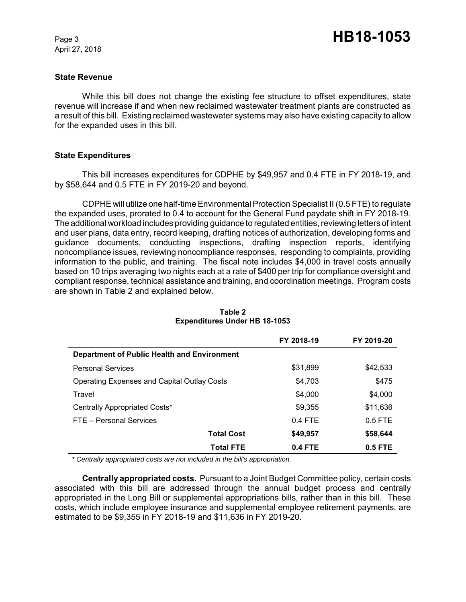April 27, 2018

#### **State Revenue**

While this bill does not change the existing fee structure to offset expenditures, state revenue will increase if and when new reclaimed wastewater treatment plants are constructed as a result of this bill. Existing reclaimed wastewater systems may also have existing capacity to allow for the expanded uses in this bill.

## **State Expenditures**

This bill increases expenditures for CDPHE by \$49,957 and 0.4 FTE in FY 2018-19, and by \$58,644 and 0.5 FTE in FY 2019-20 and beyond.

CDPHE will utilize one half-time Environmental Protection Specialist II (0.5 FTE) to regulate the expanded uses, prorated to 0.4 to account for the General Fund paydate shift in FY 2018-19. The additional workload includes providing guidance to regulated entities, reviewing letters of intent and user plans, data entry, record keeping, drafting notices of authorization, developing forms and guidance documents, conducting inspections, drafting inspection reports, identifying noncompliance issues, reviewing noncompliance responses, responding to complaints, providing information to the public, and training. The fiscal note includes \$4,000 in travel costs annually based on 10 trips averaging two nights each at a rate of \$400 per trip for compliance oversight and compliant response, technical assistance and training, and coordination meetings. Program costs are shown in Table 2 and explained below.

|                                                    | FY 2018-19 | FY 2019-20 |
|----------------------------------------------------|------------|------------|
| Department of Public Health and Environment        |            |            |
| <b>Personal Services</b>                           | \$31,899   | \$42,533   |
| <b>Operating Expenses and Capital Outlay Costs</b> | \$4,703    | \$475      |
| Travel                                             | \$4,000    | \$4,000    |
| Centrally Appropriated Costs*                      | \$9,355    | \$11,636   |
| FTE - Personal Services                            | $0.4$ FTE  | $0.5$ FTE  |
| <b>Total Cost</b>                                  | \$49,957   | \$58,644   |
| <b>Total FTE</b>                                   | $0.4$ FTE  | 0.5 FTE    |

#### **Table 2 Expenditures Under HB 18-1053**

 *\* Centrally appropriated costs are not included in the bill's appropriation.*

**Centrally appropriated costs.** Pursuant to a Joint Budget Committee policy, certain costs associated with this bill are addressed through the annual budget process and centrally appropriated in the Long Bill or supplemental appropriations bills, rather than in this bill. These costs, which include employee insurance and supplemental employee retirement payments, are estimated to be \$9,355 in FY 2018-19 and \$11,636 in FY 2019-20.